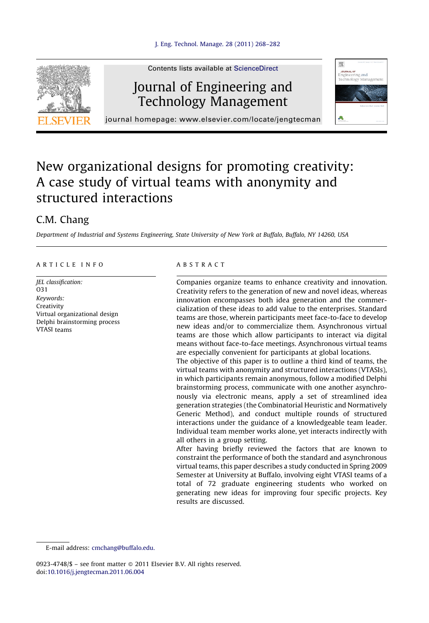

Contents lists available at [ScienceDirect](http://www.sciencedirect.com/science/journal/09234748)

# Journal of Engineering and Technology Management



journal homepage: www.elsevier.com/locate/jengtecman

## New organizational designs for promoting creativity: A case study of virtual teams with anonymity and structured interactions

### C.M. Chang

Department of Industrial and Systems Engineering, State University of New York at Buffalo, Buffalo, NY 14260, USA

#### A R T I C L E I N F O

JEL classification: O31 Keywords: Creativity Virtual organizational design Delphi brainstorming process VTASI teams

#### A B S T R A C T

Companies organize teams to enhance creativity and innovation. Creativity refers to the generation of new and novel ideas, whereas innovation encompasses both idea generation and the commercialization of these ideas to add value to the enterprises. Standard teams are those, wherein participants meet face-to-face to develop new ideas and/or to commercialize them. Asynchronous virtual teams are those which allow participants to interact via digital means without face-to-face meetings. Asynchronous virtual teams are especially convenient for participants at global locations.

The objective of this paper is to outline a third kind of teams, the virtual teams with anonymity and structured interactions (VTASIs), in which participants remain anonymous, follow a modified Delphi brainstorming process, communicate with one another asynchronously via electronic means, apply a set of streamlined idea generation strategies (the Combinatorial Heuristic and Normatively Generic Method), and conduct multiple rounds of structured interactions under the guidance of a knowledgeable team leader. Individual team member works alone, yet interacts indirectly with all others in a group setting.

After having briefly reviewed the factors that are known to constraint the performance of both the standard and asynchronous virtual teams, this paper describes a study conducted in Spring 2009 Semester at University at Buffalo, involving eight VTASI teams of a total of 72 graduate engineering students who worked on generating new ideas for improving four specific projects. Key results are discussed.

E-mail address: [cmchang@buffalo.edu.](mailto:cmchang@buffalo.edu)

0923-4748/\$ – see front matter © 2011 Elsevier B.V. All rights reserved. doi:[10.1016/j.jengtecman.2011.06.004](http://dx.doi.org/10.1016/j.jengtecman.2011.06.004)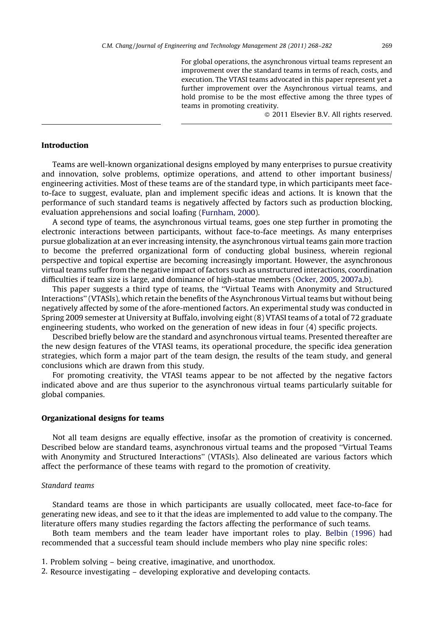For global operations, the asynchronous virtual teams represent an improvement over the standard teams in terms of reach, costs, and execution. The VTASI teams advocated in this paper represent yet a further improvement over the Asynchronous virtual teams, and hold promise to be the most effective among the three types of teams in promoting creativity.

© 2011 Elsevier B.V. All rights reserved.

#### Introduction

Teams are well-known organizational designs employed by many enterprises to pursue creativity and innovation, solve problems, optimize operations, and attend to other important business/ engineering activities. Most of these teams are of the standard type, in which participants meet faceto-face to suggest, evaluate, plan and implement specific ideas and actions. It is known that the performance of such standard teams is negatively affected by factors such as production blocking, evaluation apprehensions and social loafing [\(Furnham,](#page--1-0) 2000).

A second type of teams, the asynchronous virtual teams, goes one step further in promoting the electronic interactions between participants, without face-to-face meetings. As many enterprises pursue globalization at an ever increasing intensity, the asynchronous virtual teams gain more traction to become the preferred organizational form of conducting global business, wherein regional perspective and topical expertise are becoming increasingly important. However, the asynchronous virtual teams suffer from the negative impact of factors such as unstructured interactions, coordination difficulties if team size is large, and dominance of high-statue members (Ocker, 2005, [2007a,b\)](#page--1-0).

This paper suggests a third type of teams, the ''Virtual Teams with Anonymity and Structured Interactions'' (VTASIs), which retain the benefits of the Asynchronous Virtual teams but without being negatively affected by some of the afore-mentioned factors. An experimental study was conducted in Spring 2009 semester at University at Buffalo, involving eight (8) VTASI teams of a total of 72 graduate engineering students, who worked on the generation of new ideas in four (4) specific projects.

Described briefly below are the standard and asynchronous virtual teams. Presented thereafter are the new design features of the VTASI teams, its operational procedure, the specific idea generation strategies, which form a major part of the team design, the results of the team study, and general conclusions which are drawn from this study.

For promoting creativity, the VTASI teams appear to be not affected by the negative factors indicated above and are thus superior to the asynchronous virtual teams particularly suitable for global companies.

#### Organizational designs for teams

Not all team designs are equally effective, insofar as the promotion of creativity is concerned. Described below are standard teams, asynchronous virtual teams and the proposed ''Virtual Teams with Anonymity and Structured Interactions'' (VTASIs). Also delineated are various factors which affect the performance of these teams with regard to the promotion of creativity.

#### Standard teams

Standard teams are those in which participants are usually collocated, meet face-to-face for generating new ideas, and see to it that the ideas are implemented to add value to the company. The literature offers many studies regarding the factors affecting the performance of such teams.

Both team members and the team leader have important roles to play. Belbin [\(1996\)](#page--1-0) had recommended that a successful team should include members who play nine specific roles:

- 1. Problem solving being creative, imaginative, and unorthodox.
- 2. Resource investigating developing explorative and developing contacts.